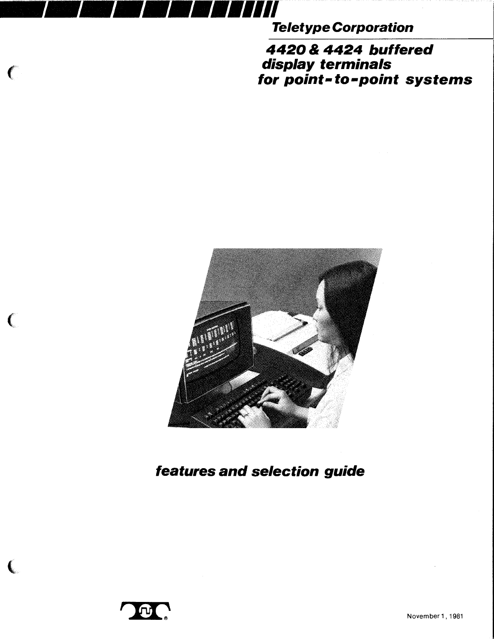$\big($ 

 $\big($ 

**Teletype Corporation** 

4420 & 4424 buffered display terminals for point-to-point systems



# features and selection guide

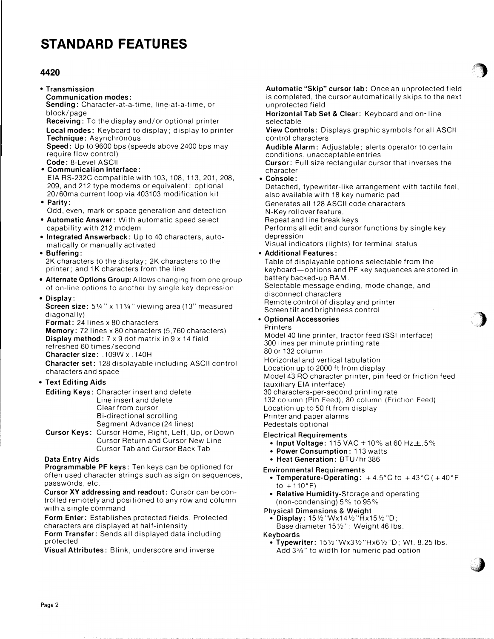# STANDARD FEATURES

#### 4420

• Transmission Communication modes: Sending: Character-at-a-time, line-at-a-time, or block/page

Receiving: To the display and/or optional printer

Local modes: Keyboard to display; display to printer Technique: Asynchronous

Speed: Up to 9600 bps (speeds above 2400 bps may require flow control)

Code: 8-Level ASCII • Communication Interface:

EIA RS-232C compatible with 103, 108, 113, 201, 208, 209, and 212 type modems or equivalent; optional 20/60ma current loop via 403103 modification kit

- Parity:
- Odd, even, mark or space generation and detection
- Automatic Answer: With automatic speed select capability with 212 modem
- Integrated Answerback: Up to 40 characters, automatically or manually activated
- Buffering: 2K characters to the display; 2K characters to the printer; and 1K characters from the line
- Alternate Options Group: Allows changing from one group of on-line options to another by single key depression
- Display:

Screen size:  $5\frac{1}{4}$ " x 11 $\frac{1}{4}$ " viewing area (13" measured diagonally)

Format: 24 lines x 80 characters

Memory: 72 lines x 80 characters (5,760 characters) **Display method:**  $7 \times 9$  dot matrix in  $9 \times 14$  field refreshed 60 times/second

Character size: .109W x .140H

Character set: 128 displayable including ASCII control characters and space

#### • Text Editing Aids

Editing Keys: Character insert and delete Line insert and delete Clear from cursor Bi-directional scrolling Segment Advance (24 lines)

Cursor Keys: Cursor Home, Right, Left, Up, or Down Cursor Return and Cursor New Line Cursor Tab and Cursor Back Tab

#### Data Entry Aids

Programmable PF keys: Ten keys can be optioned for often used character strings such as sign on sequences, passwords, etc.

Cursor XV addressing and readout: Cursor can be controlled remotely and positioned to any row and column with a single command

Form Enter: Establishes protected fields. Protected characters are displayed at half-intensity

Form Transfer: Sends all displayed data including protected

Visual Attributes: Blink, underscore and inverse

Automatic "Skip" cursor tab: Once an unprotected field is completed, the cursor automatically skips to the next unprotected field

Horizontal Tab Set & Clear: Keyboard and on-line selectable

View Controls: Displays graphic symbols for all ASCII control characters

Audible Alarm: Adjustable; alerts operator to certain conditions, unacceptable entries

Cursor: Full size rectangular cursor that inverses the character

• Console:

Detached, typewriter-like arrangement with tactile feel, also available with 18 key numeric pad Generates all 128 ASCII code characters N-Key rollover feature. Repeat and line break keys Performs all edit and cursor functions by single key depression Visual indicators (lights) for terminal status

#### • Additional Features:

Table of displayable options selectable from the keyboard-options and PF key sequences are stored in battery backed-up RAM. Selectable message ending, mode change, and disconnect characters Remote control of display and printer Screen tilt and brightness control

### • Optional Accessories

Printers Model 40 line printer, tractor feed (SSI interface) 300 lines per minute printing rate 80 or 132 column Horizontal and vertical tabulation Location up to 2000 ft from display Model 43 RO character printer, pin feed or friction feed (auxiliary EIA interface) 30 characters-per-second printing rate 132 column (Pin Feed), 80 column (Friction Feed) Location up to 50 ft from display Printer and paper alarms Pedestals optional

#### Electrical Requirements

- Input Voltage: 115 VAC $\pm$ 10% at 60 Hz $\pm$ .5%
- Power Consumption: 113 watts
- Heat Generation: BTU/hr 386

#### Environmental Requirements

- Temperature-Operating:  $+4.5^{\circ}$ C to  $+43^{\circ}$ C ( $+40^{\circ}$ F to  $+110^{\circ}$ F)
- Relative Humidity-Storage and operating (non-condensing) 5% to 95%

#### Physical Dimensions & Weight

• Display: 15½"Wx14½"Hx15½"D; Base diameter 15½"; Weight 46 lbs.

Keyboards

• Typewriter:  $15\frac{1}{2}$ "Wx31/2"Hx61/2"D; Wt. 8.25 lbs. Add 33/4'' to width for numeric pad option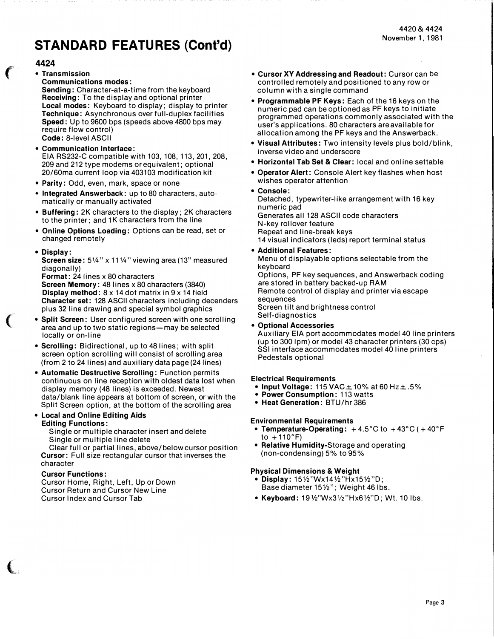# STANDARD FEATURES (Cont'd)

#### 4424

#### • Transmission

#### Communications modes:

Sending: Character-at-a-time from the keyboard Receiving: To the display and optional printer Local modes: Keyboard to display; display to printer Technique: Asynchronous over full-duplex facilities Speed: Up to 9600 bps (speeds above 4800 bps may require flow control) Code: 8-level ASCII

- Communication Interface: EIA RS232-C compatible with 103, 108, 113, 201, 208, 209 and 212 type modems or equivalent; optional 20 /60 ma current loop via 403103 modification kit
- Parity: Odd, even, mark, space or none
- Integrated Answerback: up to 80 characters, automatically or manually activated
- Buffering: 2K characters to the display; 2K characters to the printer; and 1K characters from the line
- Online Options Loading: Options can be read, set or changed remotely

#### • Display:

Screen size:  $5\frac{1}{4}$ " x 11 $\frac{1}{4}$ " viewing area (13" measured diagonally)

Format:  $24$  lines  $x$  80 characters Screen Memory:  $48$  lines  $x$  80 characters (3840) Display method:  $8 \times 14$  dot matrix in  $9 \times 14$  field Character set: 128 ASCII characters including decenders plus 32 line drawing and special symbol graphics

- Split Screen: User configured screen with one scrolling area and up to two static regions-may be selected locally or on-line
- Scrolling: Bidirectional, up to 481ines; with split screen option scrolling will consist of scrolling area (from 2 to 24 lines) and aux iliary data page (241ines)
- Automatic Destructive Scrolling: Function permits continuous on line reception with oldest data lost when display memory (48 lines) is ex ceeded. Newest data/blank line appears at bottom of screen, or with the Split Screen option, at the bottom of the scrolling area

### • Local and Online Editing Aids

Editing Functions:

Single or multiple character insert and delete Single or multiple line delete

Clear full or partial lines, above/below cursor position Cursor: Full size rectangular cursor that inverses the character

#### Cursor Functions:

Cursor Home, Right, Left, Up or Down Cursor Return and Cursor New Line Cursor Index and Cursor Tab

- Cursor XV Addressing and Readout: Cursor can be controlled remotely and positioned to any row or column with a single command
- Programmable PF Keys: Each of the 16 keys on the numeric pad can be optioned as PF keys to initiate programmed operations commonly associated with the user's applications. 80 characters are available for allocation among the PF keys and the Answerback.
- Visual Attributes: Two intensity levels plus bold/blink, inverse video and underscore
- Horizontal Tab Set & Clear: local and online settable
- Operator Alert: Console Alert key flashes when host wishes operator attention
- Console: Detached, typewriter-like arrangement with 16 key numeric pad Generates all 128 ASCII code characters N-key rollover feature

Repeat and line-break keys 14 visual indicators (leds) report terminal status

• Additional Features:

Menu of displayable options selectable from the keyboard

Options, PF key sequences, and Answerback coding are stored in battery backed-up RAM Remote control of display and printer via escape sequences Screen tilt and brightness control Self-diagnostics

• Optional Accessories

Aux iliary EIA port accommodates mode140 line printers (up to 300 lpm) or mode143 character printers (30 cps) SSI interface accommodates model 40 line printers Pedestals optional

#### Electrical Requirements

- Input Voltage: 115 VAC $\pm$ 10% at 60 Hz $\pm$ .5%
- Power Consumption: 113 watts
- Heat Generation: BTU/hr 386

#### Environmental Requirements

- Temperature-Operating:  $+4.5^{\circ}$ C to  $+43^{\circ}$ C ( $+40^{\circ}$ F to  $+110^{\circ}$ F)
- Relative Humidity-Storage and operating (non-condensing) 5% to 95%

#### Physical Dimensions & Weight

- Display:  $15\frac{1}{2}$ "Wx141/2"Hx151/2"D; Base diameter 151/2"; Weight 46 lbs.
- Keyboard:  $19\frac{1}{2}$ "Wx31/2"Hx61/2"D; Wt. 10 lbs.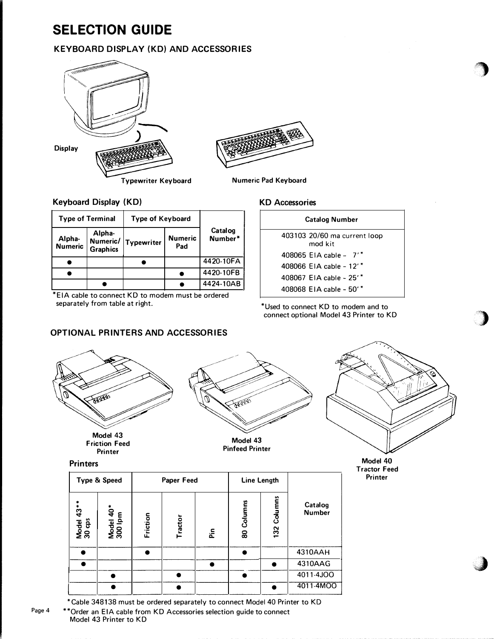# **SELECTION GUIDE**

### **KEYBOARD DISPLAY (KD) AND ACCESSORIES**







**Numeric Pad Keyboard** 

**Keyboard Display (KD)** 

|                          | <b>Type of Terminal</b>               |                                            | <b>Type of Keyboard</b> |                    |  |
|--------------------------|---------------------------------------|--------------------------------------------|-------------------------|--------------------|--|
| Alpha-<br><b>Numeric</b> | Alpha-<br>Numeric/<br><b>Graphics</b> | <b>Numeric</b><br><b>Typewriter</b><br>Pad |                         | Catalog<br>Number* |  |
|                          |                                       |                                            |                         | 4420-10FA          |  |
|                          |                                       |                                            |                         | 4420-10FB          |  |
|                          |                                       |                                            |                         | 4424-10AB          |  |

\*EIA cable to connect KD to modem must be ordered separately from table at right.

### OPTIONAL PRINTERS AND ACCESSORIES

### **KD Accessories**

| <b>Catalog Number</b> |                                         |  |  |  |  |  |
|-----------------------|-----------------------------------------|--|--|--|--|--|
|                       | 403103 20/60 ma current loop<br>mod kit |  |  |  |  |  |
|                       | 408065 EIA cable - $7'$                 |  |  |  |  |  |
|                       | 408066 EIA cable - $12'$                |  |  |  |  |  |
|                       | 408067 EIA cable - 25'*                 |  |  |  |  |  |
|                       | $408068$ FIA cable - 50' <sup>*</sup>   |  |  |  |  |  |
|                       |                                         |  |  |  |  |  |

\*Used to connect KD to modem and to connect optional Model 43 Printer to KD

> **Tractor Feed** Printer



**Printers** 

|                           | Type & Speed         |          | Paper Feed |    |               | <b>Line Length</b> |                          |
|---------------------------|----------------------|----------|------------|----|---------------|--------------------|--------------------------|
| $43**$<br>Model<br>30 cps | Model 40*<br>300 lpm | Friction | Tractor    | عَ | Columns<br>80 | Columns<br>132     | Catalog<br><b>Number</b> |
|                           |                      |          |            |    |               |                    | 4310AAH                  |
|                           |                      |          |            |    |               |                    | 4310AAG                  |
|                           |                      |          |            |    |               |                    | 4011-4JOO                |
|                           |                      |          |            |    |               |                    | 4011-4MOO                |

\*Cable 348138 must be ordered separately to connect Model 40 Printer to KD \*\* Order an EIA cable from KD Accessories selection guide to connect Model 43 Printer to KD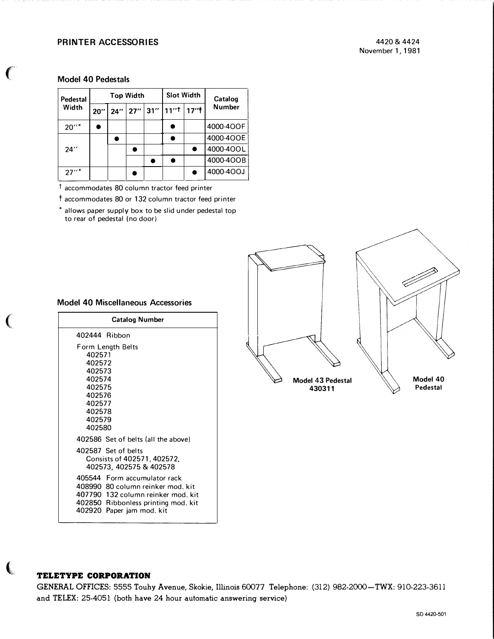#### Model 40 Pedestals

 $\epsilon$ 

 $\epsilon$ 

t

| <b>Pedestal</b> |      | <b>Top Width</b> |                 |     | <b>Slot Width</b> |                   | Catalog       |  |
|-----------------|------|------------------|-----------------|-----|-------------------|-------------------|---------------|--|
| Width           | 20'' |                  | $24''$   $27''$ | 31" | 11'' <sub>1</sub> | 17'' <sub>†</sub> | <b>Number</b> |  |
| 20''            |      |                  |                 |     |                   |                   | 4000-400F     |  |
|                 |      |                  |                 |     |                   |                   | 4000-400E     |  |
| $24$ "          |      |                  |                 |     |                   |                   | 4000-400L     |  |
|                 |      |                  |                 |     |                   |                   | 4000-400B     |  |
| 27''            |      |                  |                 |     |                   |                   | 4000-400J     |  |

t accommodates 80 column tractor feed printer

T accommodates 80 or 132 column tractor feed printer

\* allows paper supply box to be slid under pedestal top to rear of pedestal (no door)



| <b>Catalog Number</b>                                                                                                                                                          |  |  |  |  |  |  |
|--------------------------------------------------------------------------------------------------------------------------------------------------------------------------------|--|--|--|--|--|--|
| 402444 Ribbon                                                                                                                                                                  |  |  |  |  |  |  |
| Form Length Belts<br>402571<br>402572<br>402573<br>402574<br>402575<br>402576<br>402577<br>402578<br>402579                                                                    |  |  |  |  |  |  |
| 402580                                                                                                                                                                         |  |  |  |  |  |  |
| 402586 Set of belts (all the above)                                                                                                                                            |  |  |  |  |  |  |
| 402587 Set of belts<br>Consists of 402571, 402572.<br>402573, 402575 & 402578                                                                                                  |  |  |  |  |  |  |
| 405544 Form accumulator rack<br>408990 80 column reinker mod. kit<br>407790 132 column reinker mod, kit<br>402850 Ribbonless printing mod. kit<br>402920<br>Paper jam mod. kit |  |  |  |  |  |  |
|                                                                                                                                                                                |  |  |  |  |  |  |



#### TELETYPE CORPORATION

GENERAL OFFICES: 5555 Touhy Avenue, Skokie, Illinois 60077 Telephone: (312) 982-2000-TWX: 910-223-3611 and TELEX: 25-4051 (both have 24 hour automatic answering service)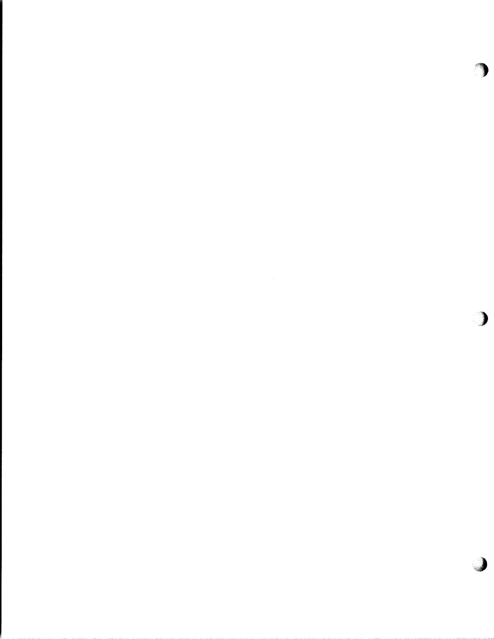$\qquad \qquad \bullet$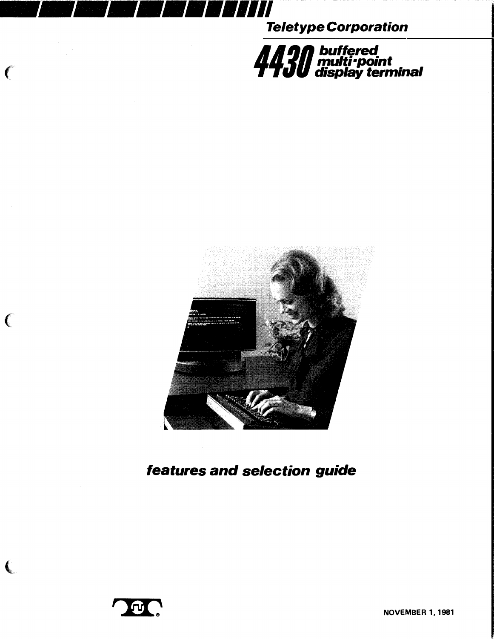**Teletype Corporation** 





features and selection guide



 $\big($ 

 $\big($ 

 $\big($ 

**NOVEMBER 1, 1981**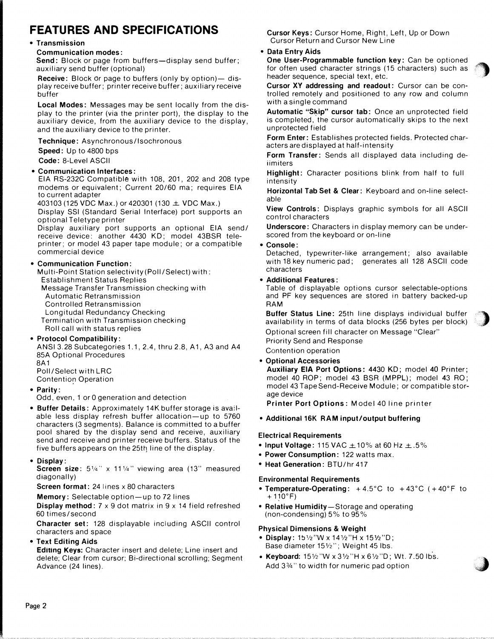# FEATURES AND SPECIFICATIONS

#### • Transmission

#### Communication modes:

Send: Block or page from buffers-display send buffer; auxiliary send buffer (optional)

Receive: Block or page to buffers (only by option)- display receive buffer; printer receive buffer; auxiliary receive buffer

Local Modes: Messages may be sent locally from the display to the printer (via the printer port), the display to the auxiliary device, from the auxiliary device to the display, and the auxiliary device to the printer.

Technique: Asynchronous/Isochronous

Speed: Up to 4800 bps Code: 8-Level ASCII

#### • Communication Interfaces:

EIA RS-232C Compatible with 108, 201, 202 and 208 type modems or equivalent; Current 20/60 ma; requires EIA to current adapter

403103 (125 VDC Max.) or 420301 (130  $\pm$  VDC Max.)

Display SSI (Standard Serial Interface) port supports an optional Teletype printer

Display auxiliary port supports an optional EIA send/ receive device: another 4430 KD; model 43BSR teleprinter; or model 43 paper tape module; or a compatible commercial device

#### • Communication Function:

Multi-Point Station selectivity (Poll/Select) with: Establishment Status Replies Message Transfer Transmission checking with Automatic Retransmission Controlled Retransmission Longitudal Redundancy Checking Termination with Transmission checking Roll call with status replies • Protocol Compatibility:

ANSI 3 .28 Subcategories 1. 1, 2.4 , thru 2 .8, A 1, A3 and A4 85A Optional Procedures 8A1

Poll/Select with LRC **Contention Operation** 

• Parity:

Odd, even, 1 or 0 generation and detection

- Buffer Details: Approximately 14K buffer storage is ava:lable less display refresh buffer allocation-up to 5760 characters (3 segments). Balance is committed to a buffer pool shared by the display send and receive, auxiliary send and receive and printer receive buffers. Status of the five buffers appears on the 25th line of the display.
- Display:

Screen size:  $5\frac{1}{4}$  x 11 $\frac{1}{4}$  viewing area (13" measured diagonally)

Screen format: 24 lines x 80 characters

Memory: Selectable option-up to 72 lines

**Display method:**  $7 \times 9$  dot matrix in  $9 \times 14$  field refreshed 60 times/second

Character set: 128 displayable including ASCII control characters and space

#### • Text Editing Aids

Editing Keys: Character insert and delete; Line insert and delete; Clear from cursor; Bi-directional scrolling; Segment Advance (24 lines).

Cursor Keys: Cursor Home, Right, Left, Up or Down Cursor Return and Cursor New Line

#### • Data Entry Aids

One User-Programmable function key: Can be optioned for often used character strings (15 characters) such as header sequence, special text, etc.

'"'  $\boldsymbol{r}$ 

> 3 )

J

Cursor XY addressing and readout: Cursor can be controlled remotely and positioned to any row and column with a single command

Automatic "Skip" cursor tab: Once an unprotected field is completed, the cursor automatically skips to the next unprotected field

Form Enter: Establishes protected fields. Protected characters are displayed at half-intensity

Form Transfer: Sends all displayed data including deiimiters

Highlight: Character positions blink from half to full intensity

Horizontal Tab Set & Clear: Keyboard and on-line selectable

View Controls: Displays graphic symbols for all ASCII control characters

Underscore: Characters in display memory can be underscored from the keyboard or on-line

#### • Console:

Detached, typewriter-like arrangement; also available with 18 key numeric pad; generates all 128 ASCII code characters

#### • Additional Features:

Table of displayable options cursor selectable-options and PF key sequences are stored in battery backed-up RAM

Buffer Status Line: 25th line displays individual buffer availability in terms of data blocks (256 bytes per block) Optional screen fill character on Message "Clear" Priority Send and Response

Contention operation

• Optional Accessories

Auxiliary EIA Port Options: 4430 KD; model 40 Printer; model 40 ROP; model 43 BSR (MPPL); model 43 RO; model 43 Tape Send-Receive Module; or compatible storage device

Printer Port Options: Model 40 line printer

• Additional 16K RAM input/output buffering

#### Electrical Requirements

- Input Voltage: 115 VAC  $\pm$  10% at 60 Hz  $\pm$ .5%
- Power Consumption: 122 watts max.
- Heat Generation: BTU/hr 417

#### Environmental Requirements

- Temperature-Operating:  $+4.5^{\circ}$ C to  $+43^{\circ}$ C ( $+40^{\circ}$ F to  $+ 110^\circ F$ )
- Relative Humidity-Storage and operating (non-condensing) 5% to 95%

#### Physical Dimensions & Weight

- Display:  $15\frac{1}{2}$ "W x  $14\frac{1}{2}$ "H x  $15\frac{1}{2}$ "D; Base diameter 151/2"; Weight 45 lbs.
- Keyboard: 151/z"W x 31/z"H x 61/z"D; Wt. 7 .50 lb . s. Add 3%" to width for numeric pad option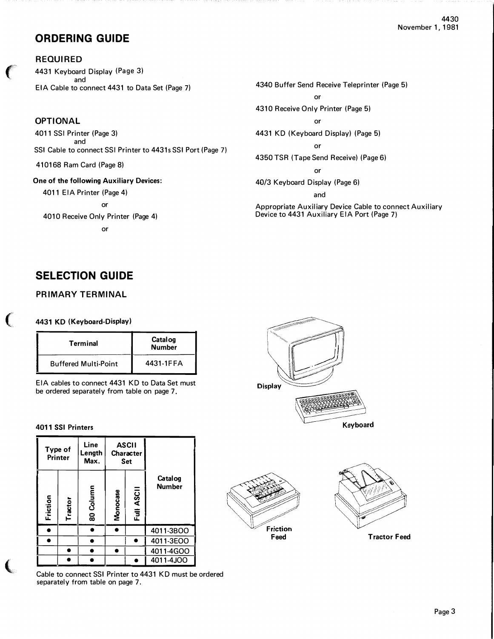# ORDERING GUIDE

#### REQUIRED 4431 Keyboard Display (Page 3) and EIA Cable to connect 4431 to Data Set (Page 7) OPTIONAL 4011 SSI Printer (Page 3) and SSI Cable to connect SSI Printer to 4431s SSI Port (Page 7) 410168 Ram Card (Page 8) One of the following Auxiliary Devices: 4011 EIA Printer (Page 4) or 4010 Receive Only Printer (Page 4) 4340 Buffer Send Receive Teleprinter (Page 5) or 4310 Receive Only Printer (Page 5) or 4431 KD (Keyboard Display) (Page 5) or 4350 TSR (Tape Send Receive) (Page 6) or 40/3 Keyboard Display (Page 6) and Appropriate Auxiliary Device Cable to connect Auxiliary Device to 4431 Auxiliary EIA Port (Page 7)

or

# SELECTION GUIDE

#### PRIMARY TERMINAL

#### ( 4431 KD (Keyboard-Display)

| Terminal                    | Catalog<br><b>Number</b> |
|-----------------------------|--------------------------|
| <b>Buffered Multi-Point</b> | 4431-1FFA                |

EIA cables to connect 4431 KD to Data Set must be ordered separately from table on page 7.

#### 4011 SSI Printers

*<u>ARK 11</u>* 

|          | Type of<br>Printer | Line<br>Length<br>Max. |          | <b>ASCII</b><br><b>Character</b><br><b>Set</b> |                          |
|----------|--------------------|------------------------|----------|------------------------------------------------|--------------------------|
| Friction | Tractor            | 80 Column              | Monocase | Full ASCII                                     | Catalog<br><b>Number</b> |
|          |                    |                        |          |                                                | 4011-3BOO                |
|          |                    |                        |          |                                                | 4011-3EOO                |
|          |                    |                        |          |                                                | 4011-4GOO                |
|          |                    |                        |          |                                                | 4011-4JOO                |

Cable to connect SSI Printer to 4431 KD must be ordered separately from table on page 7.

**Display** Keyboard





Tractor Feed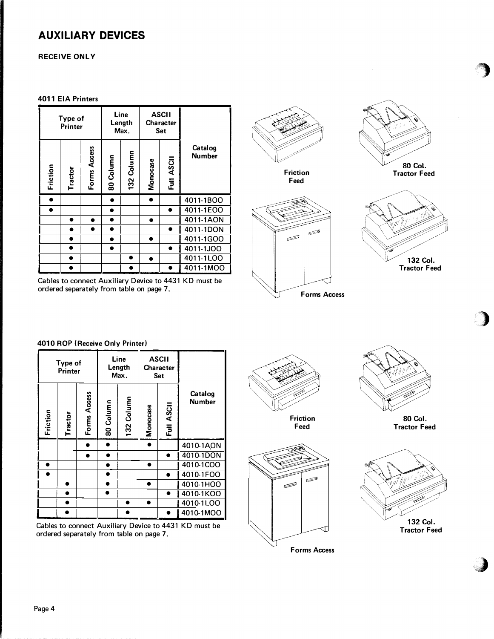# AUXILIARY DEVICES

#### RECEIVE ONLY

#### 4011 EIA Printers

|          | Type of<br>Printer |              |             | Line<br>Length<br>Max. |          | <b>ASCII</b><br><b>Character</b><br>Set |                          |
|----------|--------------------|--------------|-------------|------------------------|----------|-----------------------------------------|--------------------------|
| Friction | Tractor            | Forms Access | Column<br>8 | 132 Column             | Monocase | Full ASCII                              | Catalog<br><b>Number</b> |
|          |                    |              |             |                        |          |                                         | 4011-1BOO                |
|          |                    |              |             |                        |          |                                         | 4011-1EOO                |
|          |                    |              |             |                        |          |                                         | 4011-1AON                |
|          |                    |              |             |                        |          |                                         | 4011-1DON                |
|          |                    |              |             |                        |          |                                         | 4011-1GOO                |
|          |                    |              |             |                        |          |                                         | 4011-1JOO                |
|          |                    |              |             |                        |          |                                         | 4011-1LOO                |
|          |                    |              |             |                        |          |                                         | 4011-1MOO                |

Cables to connect Auxiliary Device to 4431 KD must be ordered separately from table on page 7.



Friction Feed











J

graduri (1999).<br>Državnje postave na predsjednik (1999).<br>Državnje postav na predsjednik (1999).<br>Državnje postav na predsjednik (1999).

#### 4010 ROP (Receive Only Printer)

|          | Type of<br><b>Printer</b> |              |           | Line<br>Length<br>Max. |          | <b>ASCII</b><br>Character<br><b>Set</b> |                          |
|----------|---------------------------|--------------|-----------|------------------------|----------|-----------------------------------------|--------------------------|
| Friction | Tractor                   | Forms Access | 80 Column | 132 Column             | Monocase | Full ASCII                              | Catalog<br><b>Number</b> |
|          |                           |              |           |                        |          |                                         | 4010-1AON                |
|          |                           |              |           |                        |          |                                         | 4010-1DON                |
|          |                           |              |           |                        |          |                                         | 4010-1COO                |
|          |                           |              |           |                        |          |                                         | 4010-1FOO                |
|          |                           |              |           |                        |          |                                         | 4010-1HOO                |
|          |                           |              |           |                        |          |                                         | 4010-1KOO                |
|          |                           |              |           |                        |          |                                         | 4010-1LOO                |
|          |                           |              |           |                        |          |                                         | 4010-1MOO                |

Cables to connect Auxiliary Device to 4431 KD must be ordered separately from table on page 7.

Friction

Feed







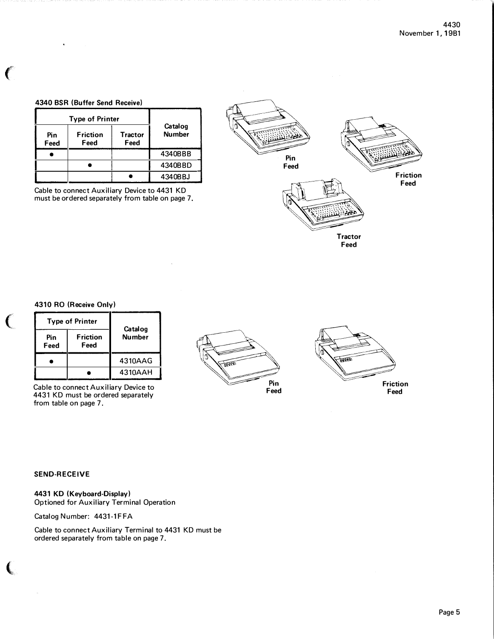#### 4340 BSR (Buffer Send Receive)

 $\left($ 

 $\epsilon$ 

 $\big($ 

 $\bar{z}$ 

|             | <b>Type of Printer</b>  |                        |                          |
|-------------|-------------------------|------------------------|--------------------------|
| Pin<br>Feed | <b>Friction</b><br>Feed | <b>Tractor</b><br>Feed | Catalog<br><b>Number</b> |
|             |                         |                        | 4340BBB                  |
|             |                         |                        | 4340BBD                  |
|             |                         |                        | 4340BBJ                  |

Cable to connect Auxiliary Device to 4431 KD must be ordered separately from table on page 7.



#### 4310 RO (Receive Only)

|             | <b>Type of Printer</b>  |                          |
|-------------|-------------------------|--------------------------|
| Pin<br>Feed | <b>Friction</b><br>Feed | Catalog<br><b>Number</b> |
|             |                         | 4310AAG                  |
|             |                         | 4310AAH                  |

Cable to connect Auxiliary Device to 4431 KD must be ordered separately from table on page 7.





#### SEND-RECEIVE

4431 KD (Keyboard-Display) Optioned for Auxiliary Terminal Operation

Catalog Number: 4431-1FFA

Cable to connect Auxiliary Terminal to 4431 KD must be ordered separately from table on page 7.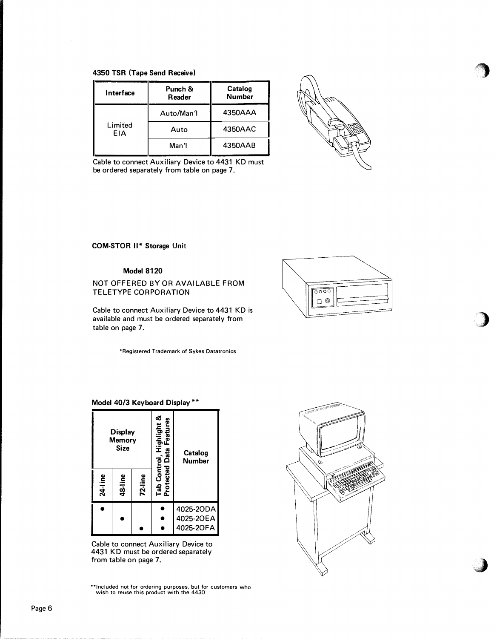#### 4350 TSR (Tape Send Receive)

| Interface      | Punch &<br>Reader | Catalog<br><b>Number</b> |
|----------------|-------------------|--------------------------|
|                | Auto/Man'l        | 4350AAA                  |
| Limited<br>EIA | Auto              | 4350AAC                  |
|                | Man'l             | 4350AAB                  |

Cable to connect Auxiliary Device to 4431 KD must be ordered separately from table on page 7.



 $\mathcal{P}$ 

:>

**)** 

I

COM-STOR II\* Storage Unit

#### Model 8120

NOT OFFERED BY OR AVAILABLE FROM TELETYPE CORPORATION

Cable to connect Auxiliary Device to 4431 KD is available and must be ordered separately from table on page 7.

\*Registered Trademark of Sykes Datatronics



#### Model 40/3 Keyboard Display\*\*

|         | <b>Display</b><br>Memory<br>Size |         | Highlight &<br>ta Features           | Catalog<br>Number                   |  |  |
|---------|----------------------------------|---------|--------------------------------------|-------------------------------------|--|--|
| 24-line | 48-line                          | 72-line | <b>Protected Data</b><br>Tab Control |                                     |  |  |
|         |                                  |         |                                      | 4025-20DA<br>4025-20EA<br>4025-20FA |  |  |

Cable to connect Auxiliary Device to 4431 KD must be ordered separately from table on page 7.

\*\*Included not for ordering purposes, but for customers who wish to reuse this product with the 4430.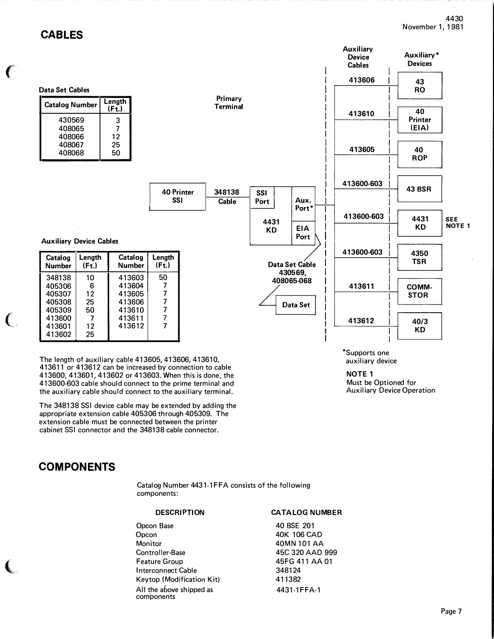# CABLES

 $\epsilon$ 

 $\big($ 

(



The length of auxiliary cable 413605, 413606, 413610, 413611 or 413612 can be increased by connection to cable 413600, 413601, 413602 or 413603. When this is done, the 413600-603 cable should connect to the prime terminal and the auxiliary cable should connect to the auxiliary terminal.

The 348138 SSI device cable may be extended by adding the appropriate extension cable 405306 through 405309. The extension cable must be connected between the printer cabinet SSI connector and the 348138 cable connector.

## COMPONENTS

Catalog Number 4431-1 FFA consists of the following components:

#### **DESCRIPTION**

| Opcon Base                             | 40 BSE 201      |
|----------------------------------------|-----------------|
| Opcon                                  | 40K 106 CAD     |
| <b>Monitor</b>                         | 40MN 101 AA     |
| Controller-Base                        | 45C 320 AAD 999 |
| <b>Feature Group</b>                   | 45FG 411 AA 01  |
| <b>Interconnect Cable</b>              | 348124          |
| Keytop (Modification Kit)              | 411382          |
| All the above shipped as<br>components | 4431-1FFA-1     |

\*Supports one auxiliary device

Must be Optioned for Auxiliary Device Operation

NOTE 1

CATALOG NUMBER